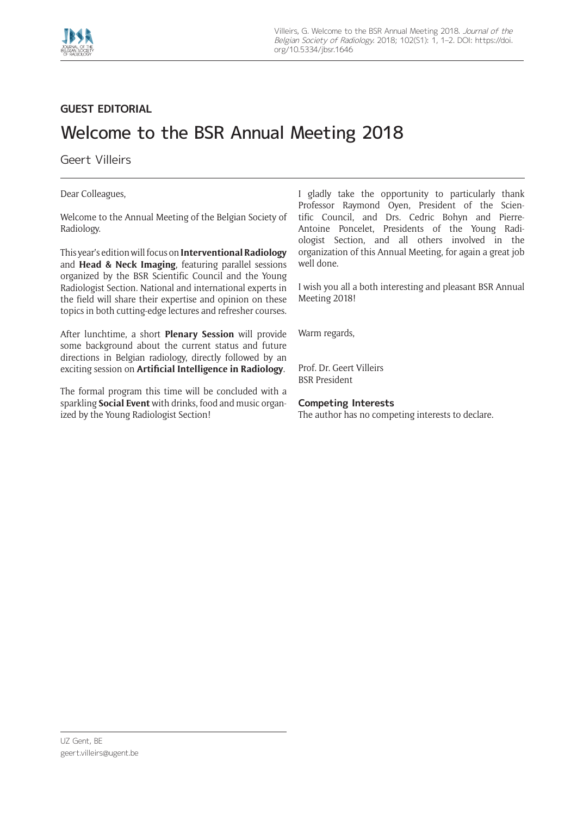

## **GUEST EDITORIAL**

## Welcome to the BSR Annual Meeting 2018

Geert Villeirs

Dear Colleagues,

Welcome to the Annual Meeting of the Belgian Society of Radiology.

This year's edition will focus on **Interventional Radiology** and **Head & Neck Imaging**, featuring parallel sessions organized by the BSR Scientific Council and the Young Radiologist Section. National and international experts in the field will share their expertise and opinion on these topics in both cutting-edge lectures and refresher courses.

After lunchtime, a short **Plenary Session** will provide some background about the current status and future directions in Belgian radiology, directly followed by an exciting session on **Artificial Intelligence in Radiology**.

The formal program this time will be concluded with a sparkling **Social Event** with drinks, food and music organized by the Young Radiologist Section!

I gladly take the opportunity to particularly thank Professor Raymond Oyen, President of the Scientific Council, and Drs. Cedric Bohyn and Pierre-Antoine Poncelet, Presidents of the Young Radiologist Section, and all others involved in the organization of this Annual Meeting, for again a great job well done.

I wish you all a both interesting and pleasant BSR Annual Meeting 2018!

Warm regards,

Prof. Dr. Geert Villeirs BSR President

## **Competing Interests**

The author has no competing interests to declare.